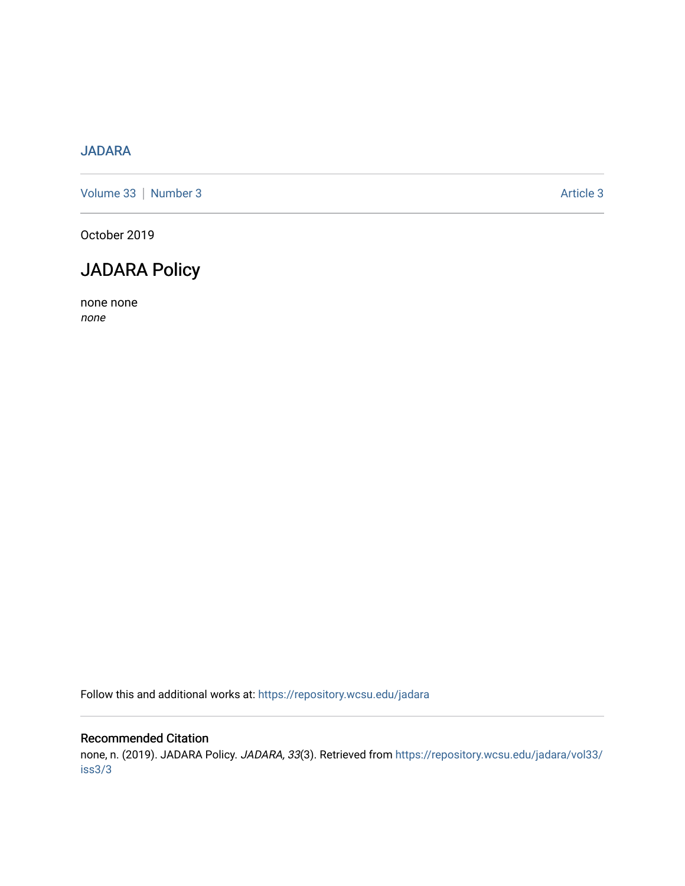## [JADARA](https://repository.wcsu.edu/jadara)

[Volume 33](https://repository.wcsu.edu/jadara/vol33) | [Number 3](https://repository.wcsu.edu/jadara/vol33/iss3) Article 3

October 2019

# JADARA Policy

none none none

Follow this and additional works at: [https://repository.wcsu.edu/jadara](https://repository.wcsu.edu/jadara?utm_source=repository.wcsu.edu%2Fjadara%2Fvol33%2Fiss3%2F3&utm_medium=PDF&utm_campaign=PDFCoverPages)

#### Recommended Citation

none, n. (2019). JADARA Policy. JADARA, 33(3). Retrieved from [https://repository.wcsu.edu/jadara/vol33/](https://repository.wcsu.edu/jadara/vol33/iss3/3?utm_source=repository.wcsu.edu%2Fjadara%2Fvol33%2Fiss3%2F3&utm_medium=PDF&utm_campaign=PDFCoverPages) [iss3/3](https://repository.wcsu.edu/jadara/vol33/iss3/3?utm_source=repository.wcsu.edu%2Fjadara%2Fvol33%2Fiss3%2F3&utm_medium=PDF&utm_campaign=PDFCoverPages)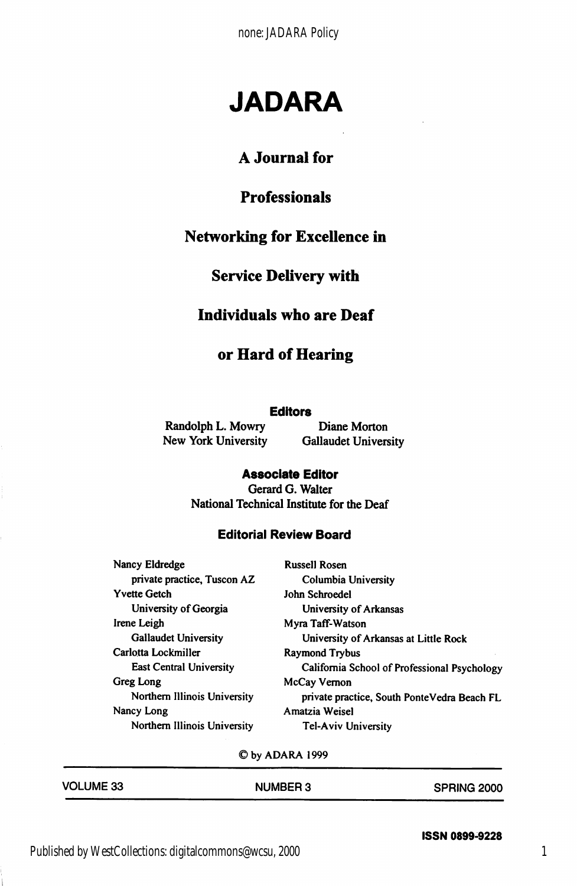none: JADARA Policy

# JADARA

## A Journal for

## Professionals

### Networking for Excellence in

### Service Delivery with

#### Individuals who are Deaf

#### or Hard of Hearing

#### **Editors**

Randolph L. Mowry Diane Morton

New York University Gallaudet University

#### Associate Editor

Gerard G. Walter National Technical Institute for the Deaf

#### Editoriai Review Board

| Nancy Eldredge                 | <b>Russell Rosen</b>                         |  |
|--------------------------------|----------------------------------------------|--|
| private practice, Tuscon AZ    | Columbia University                          |  |
| <b>Yvette Getch</b>            | John Schroedel                               |  |
| University of Georgia          | University of Arkansas                       |  |
| Irene Leigh                    | Myra Taff-Watson                             |  |
| <b>Gallaudet University</b>    | University of Arkansas at Little Rock        |  |
| Carlotta Lockmiller            | <b>Raymond Trybus</b>                        |  |
| <b>East Central University</b> | California School of Professional Psychology |  |
| Greg Long                      | McCay Vernon                                 |  |
| Northern Illinois University   | private practice, South PonteVedra Beach FL  |  |
| Nancy Long                     | Amatzia Weisel                               |  |
| Northern Illinois University   | <b>Tel-Aviv University</b>                   |  |
|                                |                                              |  |

©by ADARA 1999

| <b>VOLUME 33</b> | <b>NUMBER 3</b> | <b>SPRING 2000</b> |
|------------------|-----------------|--------------------|
|                  |                 |                    |